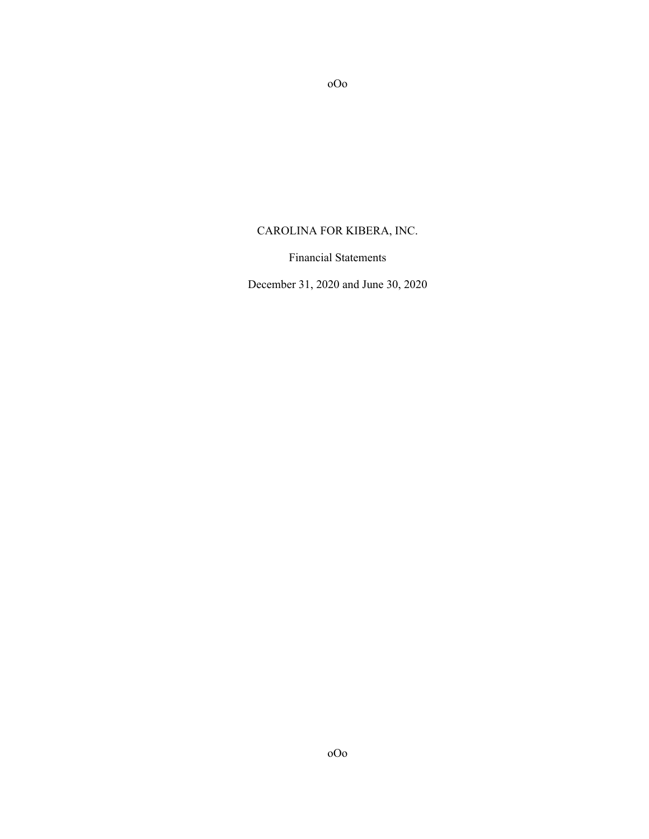# CAROLINA FOR KIBERA, INC.

oOo

Financial Statements

December 31, 2020 and June 30, 2020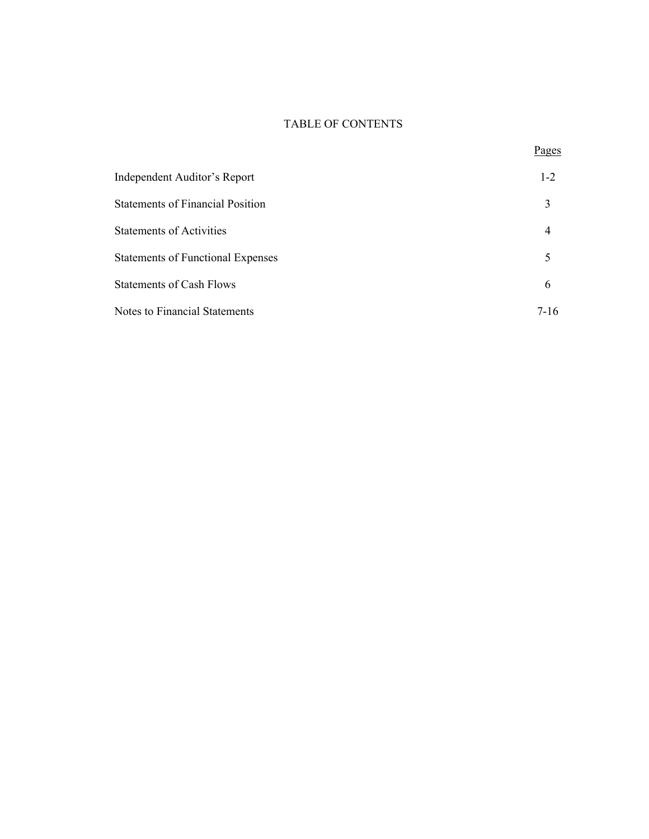# TABLE OF CONTENTS

Pages

| Independent Auditor's Report             | $1 - 2$ |
|------------------------------------------|---------|
| <b>Statements of Financial Position</b>  | 3       |
| <b>Statements of Activities</b>          | 4       |
| <b>Statements of Functional Expenses</b> |         |
| <b>Statements of Cash Flows</b>          | 6       |
| <b>Notes to Financial Statements</b>     | 7-16    |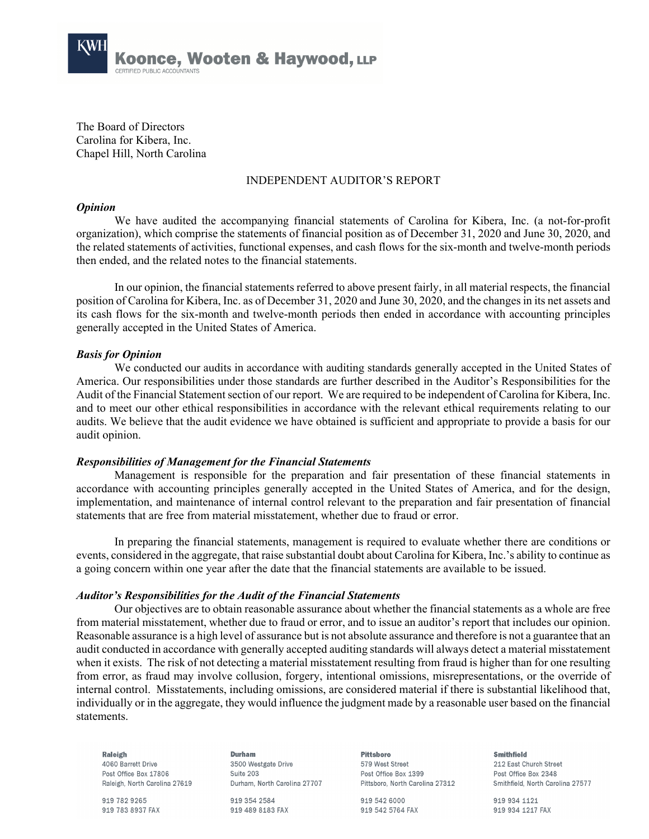

The Board of Directors Carolina for Kibera, Inc. Chapel Hill, North Carolina

# INDEPENDENT AUDITOR'S REPORT

### *Opinion*

We have audited the accompanying financial statements of Carolina for Kibera, Inc. (a not-for-profit organization), which comprise the statements of financial position as of December 31, 2020 and June 30, 2020, and the related statements of activities, functional expenses, and cash flows for the six-month and twelve-month periods then ended, and the related notes to the financial statements.

In our opinion, the financial statements referred to above present fairly, in all material respects, the financial position of Carolina for Kibera, Inc. as of December 31, 2020 and June 30, 2020, and the changes in its net assets and its cash flows for the six-month and twelve-month periods then ended in accordance with accounting principles generally accepted in the United States of America.

## *Basis for Opinion*

We conducted our audits in accordance with auditing standards generally accepted in the United States of America. Our responsibilities under those standards are further described in the Auditor's Responsibilities for the Audit of the Financial Statement section of our report. We are required to be independent of Carolina for Kibera, Inc. and to meet our other ethical responsibilities in accordance with the relevant ethical requirements relating to our audits. We believe that the audit evidence we have obtained is sufficient and appropriate to provide a basis for our audit opinion.

## *Responsibilities of Management for the Financial Statements*

Management is responsible for the preparation and fair presentation of these financial statements in accordance with accounting principles generally accepted in the United States of America, and for the design, implementation, and maintenance of internal control relevant to the preparation and fair presentation of financial statements that are free from material misstatement, whether due to fraud or error.

In preparing the financial statements, management is required to evaluate whether there are conditions or events, considered in the aggregate, that raise substantial doubt about Carolina for Kibera, Inc.'s ability to continue as a going concern within one year after the date that the financial statements are available to be issued.

## *Auditor's Responsibilities for the Audit of the Financial Statements*

Our objectives are to obtain reasonable assurance about whether the financial statements as a whole are free from material misstatement, whether due to fraud or error, and to issue an auditor's report that includes our opinion. Reasonable assurance is a high level of assurance but is not absolute assurance and therefore is not a guarantee that an audit conducted in accordance with generally accepted auditing standards will always detect a material misstatement when it exists. The risk of not detecting a material misstatement resulting from fraud is higher than for one resulting from error, as fraud may involve collusion, forgery, intentional omissions, misrepresentations, or the override of internal control. Misstatements, including omissions, are considered material if there is substantial likelihood that, individually or in the aggregate, they would influence the judgment made by a reasonable user based on the financial statements.

Raleigh 4060 Barrett Drive Post Office Box 17806 Raleigh, North Carolina 27619

919 782 9265 919 783 8937 FAX

Durham 3500 Westgate Drive Suite 203 Durham, North Carolina 27707

919 354 2584 919 489 8183 FAX **Pittsboro** 579 West Street Post Office Rox 1399 Pittsboro, North Carolina 27312

919 542 6000 919 542 5764 FAX **Smithfield** 

212 East Church Street Post Office Box 2348 Smithfield, North Carolina 27577

919 934 1121 919 934 1217 FAX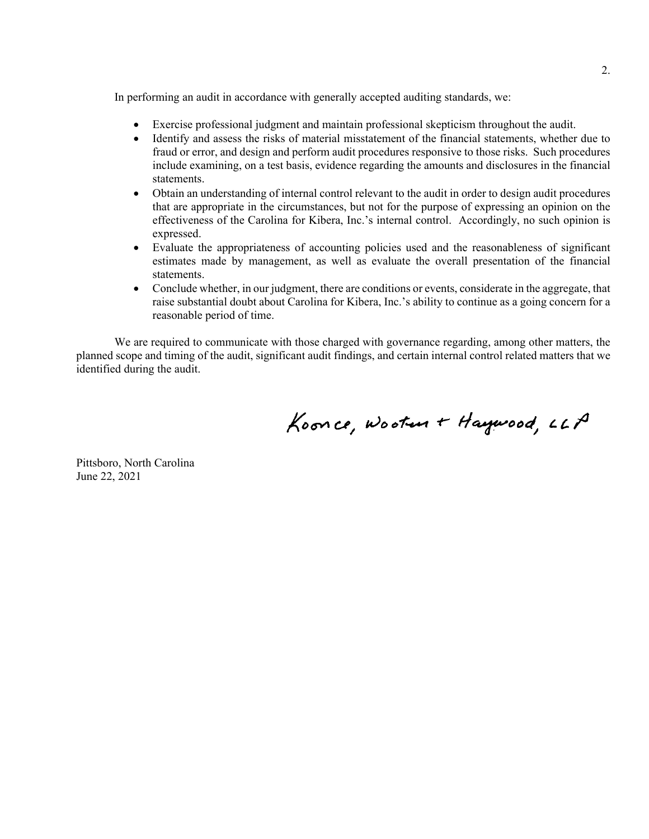In performing an audit in accordance with generally accepted auditing standards, we:

- Exercise professional judgment and maintain professional skepticism throughout the audit.
- Identify and assess the risks of material misstatement of the financial statements, whether due to fraud or error, and design and perform audit procedures responsive to those risks. Such procedures include examining, on a test basis, evidence regarding the amounts and disclosures in the financial statements.
- Obtain an understanding of internal control relevant to the audit in order to design audit procedures that are appropriate in the circumstances, but not for the purpose of expressing an opinion on the effectiveness of the Carolina for Kibera, Inc.'s internal control. Accordingly, no such opinion is expressed.
- Evaluate the appropriateness of accounting policies used and the reasonableness of significant estimates made by management, as well as evaluate the overall presentation of the financial statements.
- Conclude whether, in our judgment, there are conditions or events, considerate in the aggregate, that raise substantial doubt about Carolina for Kibera, Inc.'s ability to continue as a going concern for a reasonable period of time.

We are required to communicate with those charged with governance regarding, among other matters, the planned scope and timing of the audit, significant audit findings, and certain internal control related matters that we identified during the audit.

Koonce, Wooten + Haywood, LLP

Pittsboro, North Carolina June 22, 2021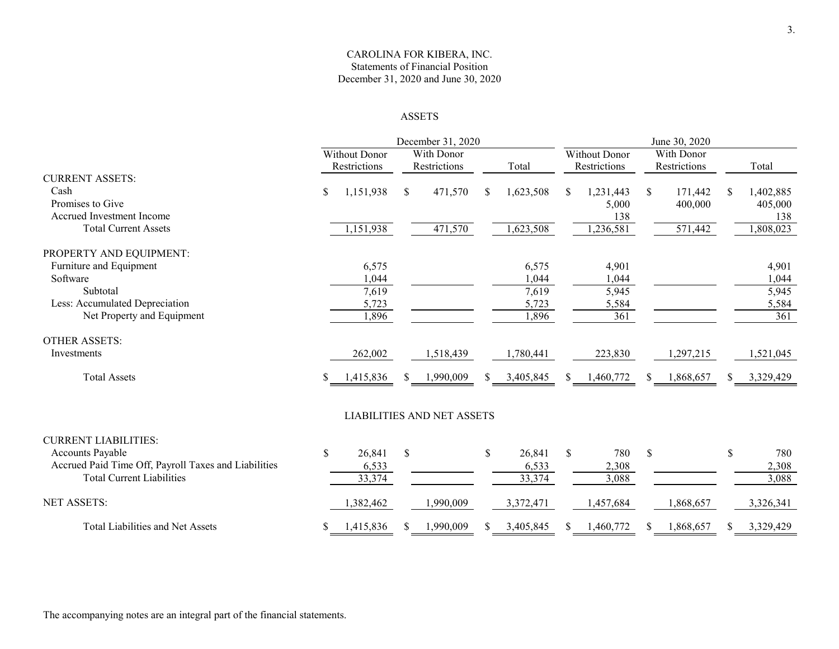## CAROLINA FOR KIBERA, INC. Statements of Financial Position December 31, 2020 and June 30, 2020

#### ASSETS

|                                                                                          |    |                           |              | December 31, 2020                 |                           |               |                           |               | June 30, 2020      |    |                             |
|------------------------------------------------------------------------------------------|----|---------------------------|--------------|-----------------------------------|---------------------------|---------------|---------------------------|---------------|--------------------|----|-----------------------------|
|                                                                                          |    | <b>Without Donor</b>      |              | With Donor                        |                           |               | Without Donor             |               | With Donor         |    |                             |
|                                                                                          |    | Restrictions              |              | Restrictions                      | Total                     |               | Restrictions              |               | Restrictions       |    | Total                       |
| <b>CURRENT ASSETS:</b><br>Cash<br>Promises to Give<br>Accrued Investment Income          | \$ | 1,151,938                 | \$           | 471,570                           | \$<br>1,623,508           | \$            | 1,231,443<br>5,000<br>138 | \$            | 171,442<br>400,000 | \$ | 1,402,885<br>405,000<br>138 |
| <b>Total Current Assets</b>                                                              |    | 1,151,938                 |              | 471,570                           | 1,623,508                 |               | 1,236,581                 |               | 571,442            |    | 1,808,023                   |
| PROPERTY AND EQUIPMENT:                                                                  |    |                           |              |                                   |                           |               |                           |               |                    |    |                             |
| Furniture and Equipment<br>Software                                                      |    | 6,575<br>1,044            |              |                                   | 6,575<br>1,044            |               | 4,901<br>1,044            |               |                    |    | 4,901<br>1,044              |
| Subtotal<br>Less: Accumulated Depreciation                                               |    | 7,619<br>5,723            |              |                                   | 7,619<br>5,723            |               | 5,945<br>5,584            |               |                    |    | 5,945<br>5,584              |
| Net Property and Equipment                                                               |    | 1,896                     |              |                                   | 1,896                     |               | $\overline{361}$          |               |                    |    | 361                         |
| <b>OTHER ASSETS:</b>                                                                     |    |                           |              |                                   |                           |               |                           |               |                    |    |                             |
| <b>Investments</b>                                                                       |    | 262,002                   |              | 1,518,439                         | 1,780,441                 |               | 223,830                   |               | 1,297,215          |    | 1,521,045                   |
| <b>Total Assets</b>                                                                      | \$ | 1,415,836                 |              | 1,990,009                         | 3,405,845                 | S             | 1,460,772                 | S.            | 1,868,657          | S  | 3,329,429                   |
|                                                                                          |    |                           |              | <b>LIABILITIES AND NET ASSETS</b> |                           |               |                           |               |                    |    |                             |
| <b>CURRENT LIABILITIES:</b><br><b>Accounts Payable</b>                                   | \$ |                           | $\mathbb{S}$ |                                   | \$                        | $\mathcal{S}$ | 780                       | $\mathcal{S}$ |                    |    |                             |
| Accrued Paid Time Off, Payroll Taxes and Liabilities<br><b>Total Current Liabilities</b> |    | 26,841<br>6,533<br>33,374 |              |                                   | 26,841<br>6,533<br>33,374 |               | 2,308<br>3,088            |               |                    | \$ | 780<br>2,308<br>3,088       |
| <b>NET ASSETS:</b>                                                                       |    | ,382,462                  |              | 1,990,009                         | 3,372,471                 |               | 1,457,684                 |               | 1,868,657          |    | 3,326,341                   |
| <b>Total Liabilities and Net Assets</b>                                                  | S  | 1,415,836                 |              | 1,990,009                         | 3,405,845                 | S             | 1,460,772                 | \$.           | 1,868,657          | S. | 3,329,429                   |

The accompanying notes are an integral part of the financial statements.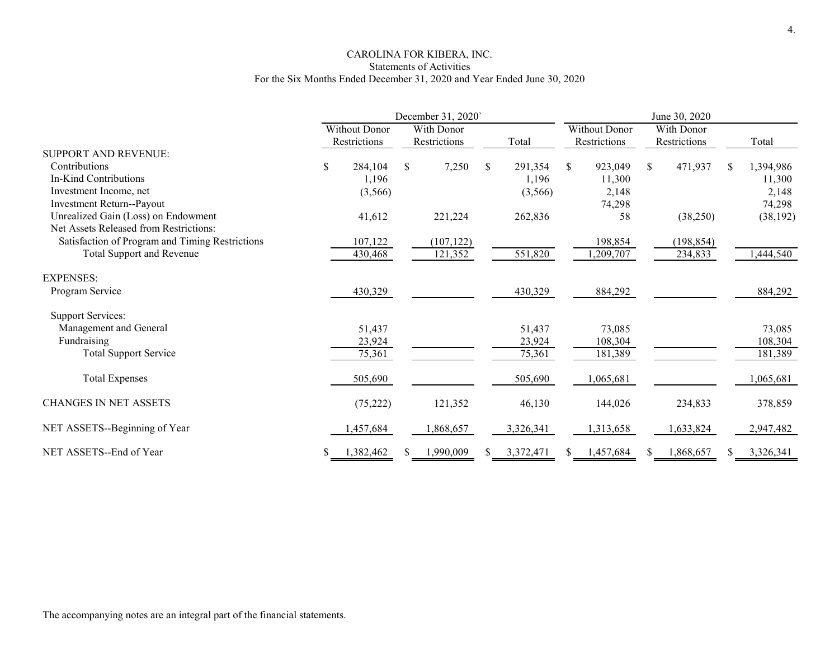# CAROLINA FOR KIBERA, INC. Statements of Activities For the Six Months Ended December 31, 2020 and Year Ended June 30, 2020

|                                                 | December 31, 2020` |                                      |    |                            | June 30, 2020 |    |                                      |    |                            |    |           |
|-------------------------------------------------|--------------------|--------------------------------------|----|----------------------------|---------------|----|--------------------------------------|----|----------------------------|----|-----------|
|                                                 |                    | <b>Without Donor</b><br>Restrictions |    | With Donor<br>Restrictions | Total         |    | <b>Without Donor</b><br>Restrictions |    | With Donor<br>Restrictions |    | Total     |
| <b>SUPPORT AND REVENUE:</b>                     |                    |                                      |    |                            |               |    |                                      |    |                            |    |           |
| Contributions                                   | \$                 | 284,104                              | \$ | 7,250                      | \$<br>291,354 | \$ | 923,049                              | \$ | 471,937                    | S. | 1,394,986 |
| In-Kind Contributions                           |                    | 1,196                                |    |                            | 1,196         |    | 11,300                               |    |                            |    | 11,300    |
| Investment Income, net                          |                    | (3,566)                              |    |                            | (3,566)       |    | 2,148                                |    |                            |    | 2,148     |
| Investment Return--Payout                       |                    |                                      |    |                            |               |    | 74,298                               |    |                            |    | 74,298    |
| Unrealized Gain (Loss) on Endowment             |                    | 41,612                               |    | 221,224                    | 262,836       |    | 58                                   |    | (38,250)                   |    | (38, 192) |
| Net Assets Released from Restrictions:          |                    |                                      |    |                            |               |    |                                      |    |                            |    |           |
| Satisfaction of Program and Timing Restrictions |                    | 107,122                              |    | (107, 122)                 |               |    | 198,854                              |    | (198, 854)                 |    |           |
| Total Support and Revenue                       |                    | 430,468                              |    | 121,352                    | 551,820       |    | ,209,707                             |    | 234,833                    |    | 1,444,540 |
| <b>EXPENSES:</b>                                |                    |                                      |    |                            |               |    |                                      |    |                            |    |           |
| Program Service                                 |                    | 430,329                              |    |                            | 430,329       |    | 884,292                              |    |                            |    | 884,292   |
| <b>Support Services:</b>                        |                    |                                      |    |                            |               |    |                                      |    |                            |    |           |
| Management and General                          |                    | 51,437                               |    |                            | 51,437        |    | 73,085                               |    |                            |    | 73,085    |
| Fundraising                                     |                    | 23,924                               |    |                            | 23,924        |    | 108,304                              |    |                            |    | 108,304   |
| <b>Total Support Service</b>                    |                    | 75,361                               |    |                            | 75,361        |    | 181,389                              |    |                            |    | 181,389   |
| <b>Total Expenses</b>                           |                    | 505,690                              |    |                            | 505,690       |    | ,065,681                             |    |                            |    | 1,065,681 |
| <b>CHANGES IN NET ASSETS</b>                    |                    | (75, 222)                            |    | 121,352                    | 46,130        |    | 144,026                              |    | 234,833                    |    | 378,859   |
| NET ASSETS--Beginning of Year                   |                    | ,457,684                             |    | 1,868,657                  | 3,326,341     |    | 1,313,658                            |    | 1,633,824                  |    | 2,947,482 |
| NET ASSETS--End of Year                         |                    | 1,382,462                            |    | 1,990,009                  | 3,372,471     |    | 1,457,684                            | Ж  | 1,868,657                  | ж  | 3,326,341 |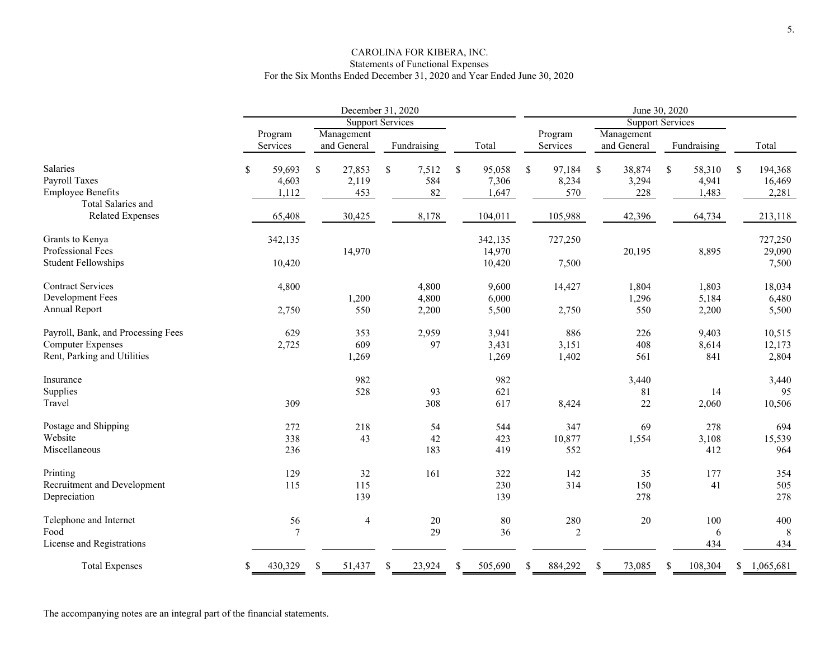## CAROLINA FOR KIBERA, INC. Statements of Functional Expenses For the Six Months Ended December 31, 2020 and Year Ended June 30, 2020

|                                    | December 31, 2020 |              |                         |               |                     |                         |              |                 |
|------------------------------------|-------------------|--------------|-------------------------|---------------|---------------------|-------------------------|--------------|-----------------|
|                                    |                   |              | <b>Support Services</b> |               |                     | <b>Support Services</b> |              |                 |
|                                    | Program           | Management   |                         |               | Program             | Management              |              |                 |
|                                    | Services          | and General  | Fundraising             | Total         | Services            | and General             | Fundraising  | Total           |
| Salaries                           | \$<br>59,693      | \$<br>27,853 | $\mathbb S$<br>7,512    | \$<br>95,058  | \$<br>97,184        | \$<br>38,874            | \$<br>58,310 | 194,368<br>\$   |
| Payroll Taxes                      | 4,603             | 2,119        | 584                     | 7,306         | 8,234               | 3,294                   | 4,941        | 16,469          |
| <b>Employee Benefits</b>           | 1,112             | 453          | 82                      | 1,647         | 570                 | 228                     | 1,483        | 2,281           |
| Total Salaries and                 |                   |              |                         |               |                     |                         |              |                 |
| <b>Related Expenses</b>            | 65,408            | 30,425       | 8,178                   | 104,011       | 105,988             | 42,396                  | 64,734       | 213,118         |
|                                    |                   |              |                         |               |                     |                         |              |                 |
| Grants to Kenya                    | 342,135           |              |                         | 342,135       | 727,250             |                         |              | 727,250         |
| Professional Fees                  |                   | 14,970       |                         | 14,970        |                     | 20,195                  | 8,895        | 29,090          |
| <b>Student Fellowships</b>         | 10,420            |              |                         | 10,420        | 7,500               |                         |              | 7,500           |
| <b>Contract Services</b>           | 4,800             |              | 4,800                   | 9,600         | 14,427              | 1,804                   | 1,803        | 18,034          |
| Development Fees                   |                   | 1,200        | 4,800                   | 6,000         |                     | 1,296                   | 5,184        | 6,480           |
| Annual Report                      | 2,750             | 550          | 2,200                   | 5,500         | 2,750               | 550                     | 2,200        | 5,500           |
| Payroll, Bank, and Processing Fees | 629               | 353          | 2,959                   | 3,941         | 886                 | 226                     | 9,403        | 10,515          |
| <b>Computer Expenses</b>           | 2,725             | 609          | 97                      | 3,431         | 3,151               | 408                     | 8,614        | 12,173          |
| Rent, Parking and Utilities        |                   | 1,269        |                         | 1,269         | 1,402               | 561                     | 841          | 2,804           |
|                                    |                   |              |                         |               |                     |                         |              |                 |
| Insurance                          |                   | 982          |                         | 982           |                     | 3,440                   |              | 3,440           |
| Supplies                           |                   | 528          | 93                      | 621           |                     | 81                      | 14           | 95              |
| Travel                             | 309               |              | 308                     | 617           | 8,424               | 22                      | 2,060        | 10,506          |
| Postage and Shipping               | 272               | 218          | 54                      | 544           | 347                 | 69                      | 278          | 694             |
| Website                            | 338               | 43           | 42                      | 423           | 10,877              | 1,554                   | 3,108        | 15,539          |
| Miscellaneous                      | 236               |              | 183                     | 419           | 552                 |                         | 412          | 964             |
| Printing                           | 129               | 32           | 161                     | 322           | 142                 | 35                      | 177          | 354             |
| Recruitment and Development        | 115               | 115          |                         | 230           | 314                 | 150                     | 41           | 505             |
| Depreciation                       |                   | 139          |                         | 139           |                     | 278                     |              | 278             |
| Telephone and Internet             | 56                | 4            | $20\,$                  | $80\,$        | 280                 | 20                      | 100          | 400             |
| Food                               | 7                 |              | 29                      | 36            | $\overline{2}$      |                         | 6            | 8               |
| License and Registrations          |                   |              |                         |               |                     |                         | 434          | 434             |
| <b>Total Expenses</b>              | 430,329<br>S      | 51,437       | 23,924<br>\$.           | 505,690<br>\$ | 884,292<br><b>S</b> | 73,085<br>\$.           | 108,304<br>S | \$<br>1,065,681 |

The accompanying notes are an integral part of the financial statements.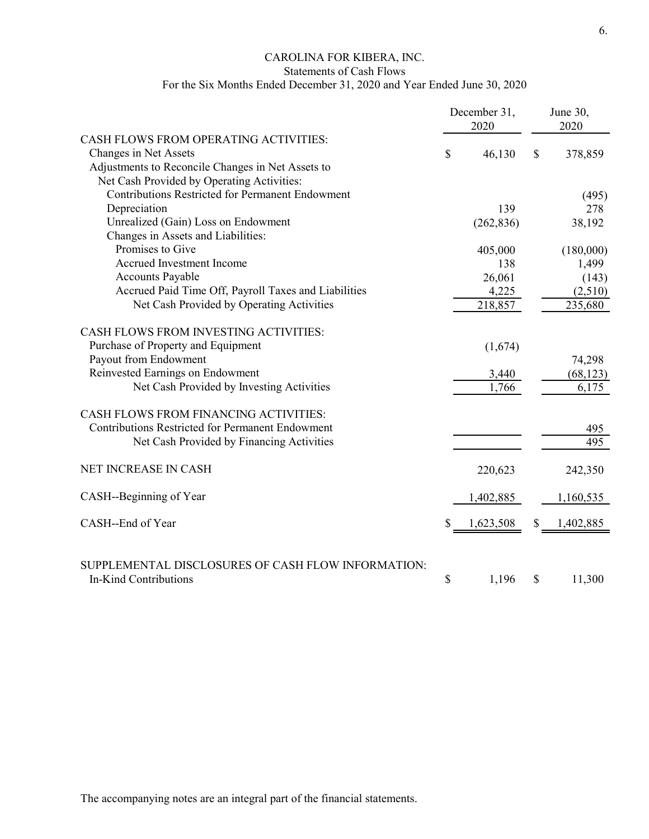# CAROLINA FOR KIBERA, INC.

Statements of Cash Flows

# For the Six Months Ended December 31, 2020 and Year Ended June 30, 2020

|                                                         | December 31,<br>2020 |    | June 30,<br>2020 |
|---------------------------------------------------------|----------------------|----|------------------|
| CASH FLOWS FROM OPERATING ACTIVITIES:                   |                      |    |                  |
| Changes in Net Assets                                   | \$<br>46,130         | \$ | 378,859          |
| Adjustments to Reconcile Changes in Net Assets to       |                      |    |                  |
| Net Cash Provided by Operating Activities:              |                      |    |                  |
| <b>Contributions Restricted for Permanent Endowment</b> |                      |    | (495)            |
| Depreciation                                            | 139                  |    | 278              |
| Unrealized (Gain) Loss on Endowment                     | (262, 836)           |    | 38,192           |
| Changes in Assets and Liabilities:                      |                      |    |                  |
| Promises to Give                                        | 405,000              |    | (180,000)        |
| <b>Accrued Investment Income</b>                        | 138                  |    | 1,499            |
| <b>Accounts Payable</b>                                 | 26,061               |    | (143)            |
| Accrued Paid Time Off, Payroll Taxes and Liabilities    | 4,225                |    | (2,510)          |
| Net Cash Provided by Operating Activities               | 218,857              |    | 235,680          |
| CASH FLOWS FROM INVESTING ACTIVITIES:                   |                      |    |                  |
| Purchase of Property and Equipment                      | (1,674)              |    |                  |
| Payout from Endowment                                   |                      |    | 74,298           |
| Reinvested Earnings on Endowment                        | 3,440                |    | (68, 123)        |
| Net Cash Provided by Investing Activities               | 1,766                |    | 6,175            |
| CASH FLOWS FROM FINANCING ACTIVITIES:                   |                      |    |                  |
| <b>Contributions Restricted for Permanent Endowment</b> |                      |    | 495              |
| Net Cash Provided by Financing Activities               |                      |    | 495              |
| NET INCREASE IN CASH                                    | 220,623              |    | 242,350          |
| CASH--Beginning of Year                                 | 1,402,885            |    | 1,160,535        |
| CASH--End of Year                                       | \$<br>1,623,508      | \$ | 1,402,885        |
| SUPPLEMENTAL DISCLOSURES OF CASH FLOW INFORMATION:      |                      |    |                  |
| <b>In-Kind Contributions</b>                            | \$<br>1,196          | \$ | 11,300           |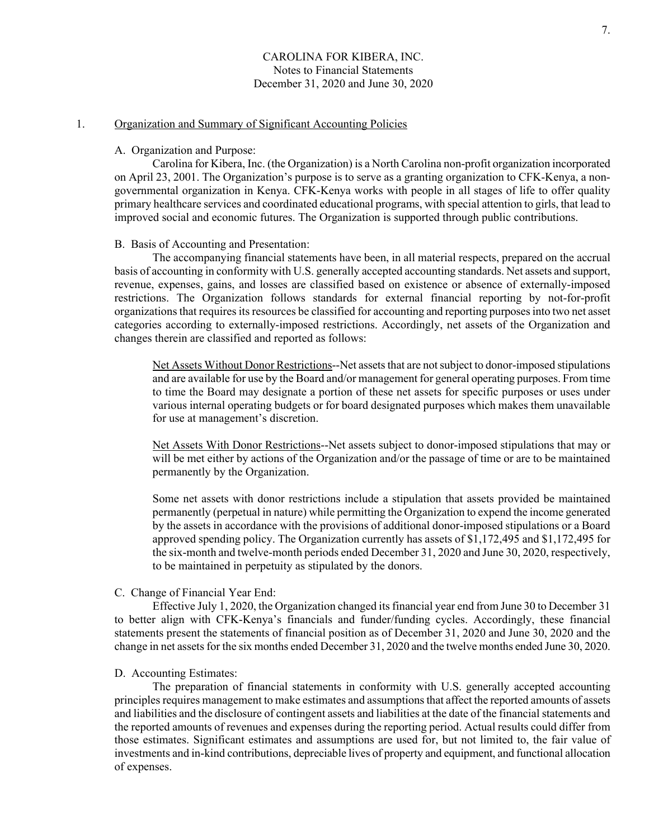# 1. Organization and Summary of Significant Accounting Policies

#### A. Organization and Purpose:

 Carolina for Kibera, Inc. (the Organization) is a North Carolina non-profit organization incorporated on April 23, 2001. The Organization's purpose is to serve as a granting organization to CFK-Kenya, a nongovernmental organization in Kenya. CFK-Kenya works with people in all stages of life to offer quality primary healthcare services and coordinated educational programs, with special attention to girls, that lead to improved social and economic futures. The Organization is supported through public contributions.

#### B. Basis of Accounting and Presentation:

 The accompanying financial statements have been, in all material respects, prepared on the accrual basis of accounting in conformity with U.S. generally accepted accounting standards. Net assets and support, revenue, expenses, gains, and losses are classified based on existence or absence of externally-imposed restrictions. The Organization follows standards for external financial reporting by not-for-profit organizations that requires its resources be classified for accounting and reporting purposes into two net asset categories according to externally-imposed restrictions. Accordingly, net assets of the Organization and changes therein are classified and reported as follows:

 Net Assets Without Donor Restrictions--Net assets that are not subject to donor-imposed stipulations and are available for use by the Board and/or management for general operating purposes. From time to time the Board may designate a portion of these net assets for specific purposes or uses under various internal operating budgets or for board designated purposes which makes them unavailable for use at management's discretion.

 Net Assets With Donor Restrictions--Net assets subject to donor-imposed stipulations that may or will be met either by actions of the Organization and/or the passage of time or are to be maintained permanently by the Organization.

 Some net assets with donor restrictions include a stipulation that assets provided be maintained permanently (perpetual in nature) while permitting the Organization to expend the income generated by the assets in accordance with the provisions of additional donor-imposed stipulations or a Board approved spending policy. The Organization currently has assets of \$1,172,495 and \$1,172,495 for the six-month and twelve-month periods ended December 31, 2020 and June 30, 2020, respectively, to be maintained in perpetuity as stipulated by the donors.

#### C. Change of Financial Year End:

 Effective July 1, 2020, the Organization changed its financial year end from June 30 to December 31 to better align with CFK-Kenya's financials and funder/funding cycles. Accordingly, these financial statements present the statements of financial position as of December 31, 2020 and June 30, 2020 and the change in net assets for the six months ended December 31, 2020 and the twelve months ended June 30, 2020.

#### D. Accounting Estimates:

 The preparation of financial statements in conformity with U.S. generally accepted accounting principles requires management to make estimates and assumptions that affect the reported amounts of assets and liabilities and the disclosure of contingent assets and liabilities at the date of the financial statements and the reported amounts of revenues and expenses during the reporting period. Actual results could differ from those estimates. Significant estimates and assumptions are used for, but not limited to, the fair value of investments and in-kind contributions, depreciable lives of property and equipment, and functional allocation of expenses.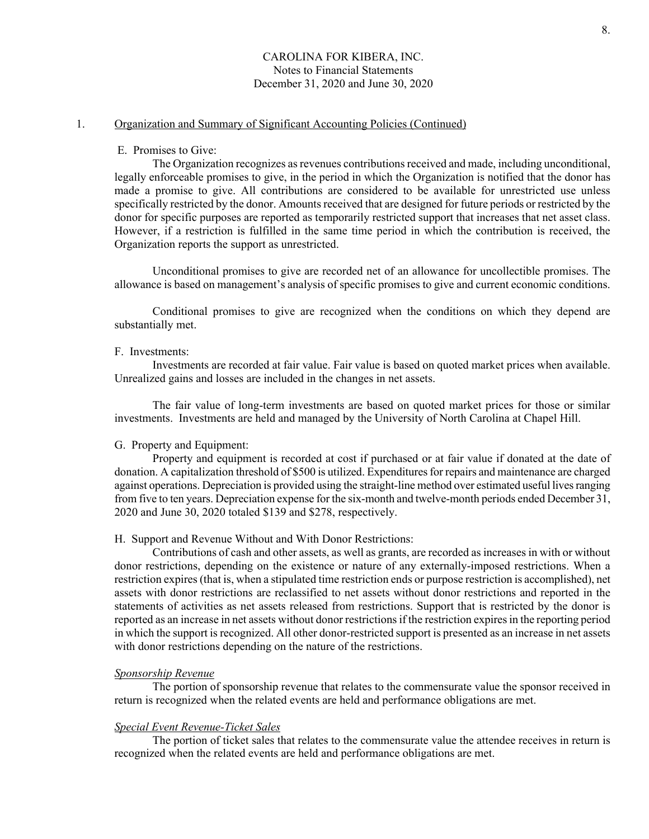# 1. Organization and Summary of Significant Accounting Policies (Continued)

#### E. Promises to Give:

 The Organization recognizes as revenues contributions received and made, including unconditional, legally enforceable promises to give, in the period in which the Organization is notified that the donor has made a promise to give. All contributions are considered to be available for unrestricted use unless specifically restricted by the donor. Amounts received that are designed for future periods or restricted by the donor for specific purposes are reported as temporarily restricted support that increases that net asset class. However, if a restriction is fulfilled in the same time period in which the contribution is received, the Organization reports the support as unrestricted.

 Unconditional promises to give are recorded net of an allowance for uncollectible promises. The allowance is based on management's analysis of specific promises to give and current economic conditions.

 Conditional promises to give are recognized when the conditions on which they depend are substantially met.

#### F. Investments:

 Investments are recorded at fair value. Fair value is based on quoted market prices when available. Unrealized gains and losses are included in the changes in net assets.

 The fair value of long-term investments are based on quoted market prices for those or similar investments. Investments are held and managed by the University of North Carolina at Chapel Hill.

#### G. Property and Equipment:

 Property and equipment is recorded at cost if purchased or at fair value if donated at the date of donation. A capitalization threshold of \$500 is utilized. Expenditures for repairs and maintenance are charged against operations. Depreciation is provided using the straight-line method over estimated useful lives ranging from five to ten years. Depreciation expense for the six-month and twelve-month periods ended December 31, 2020 and June 30, 2020 totaled \$139 and \$278, respectively.

#### H. Support and Revenue Without and With Donor Restrictions:

 Contributions of cash and other assets, as well as grants, are recorded as increases in with or without donor restrictions, depending on the existence or nature of any externally-imposed restrictions. When a restriction expires (that is, when a stipulated time restriction ends or purpose restriction is accomplished), net assets with donor restrictions are reclassified to net assets without donor restrictions and reported in the statements of activities as net assets released from restrictions. Support that is restricted by the donor is reported as an increase in net assets without donor restrictions if the restriction expires in the reporting period in which the support is recognized. All other donor-restricted support is presented as an increase in net assets with donor restrictions depending on the nature of the restrictions.

#### *Sponsorship Revenue*

The portion of sponsorship revenue that relates to the commensurate value the sponsor received in return is recognized when the related events are held and performance obligations are met.

#### *Special Event Revenue-Ticket Sales*

The portion of ticket sales that relates to the commensurate value the attendee receives in return is recognized when the related events are held and performance obligations are met.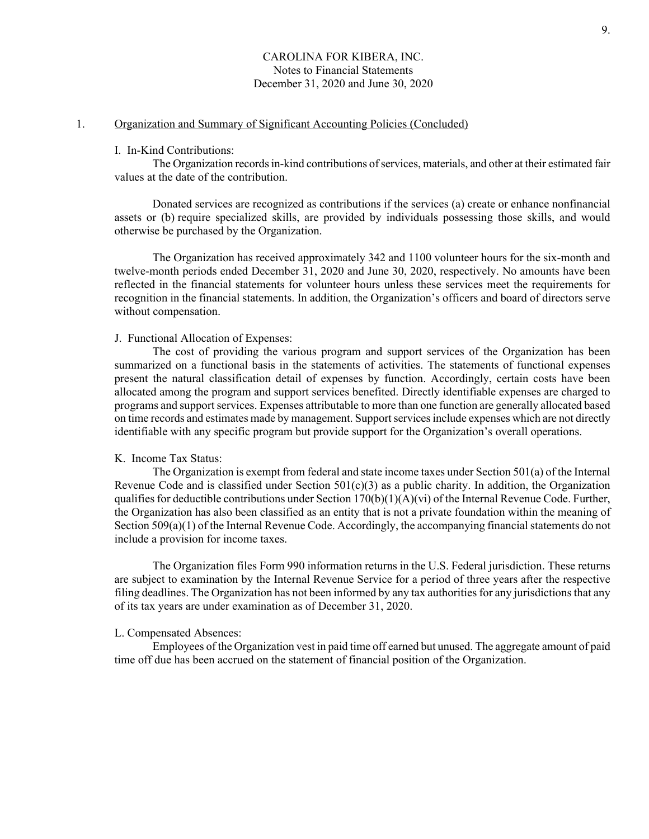# 1. Organization and Summary of Significant Accounting Policies (Concluded)

#### I. In-Kind Contributions:

 The Organization records in-kind contributions of services, materials, and other at their estimated fair values at the date of the contribution.

 Donated services are recognized as contributions if the services (a) create or enhance nonfinancial assets or (b) require specialized skills, are provided by individuals possessing those skills, and would otherwise be purchased by the Organization.

 The Organization has received approximately 342 and 1100 volunteer hours for the six-month and twelve-month periods ended December 31, 2020 and June 30, 2020, respectively. No amounts have been reflected in the financial statements for volunteer hours unless these services meet the requirements for recognition in the financial statements. In addition, the Organization's officers and board of directors serve without compensation.

#### J. Functional Allocation of Expenses:

 The cost of providing the various program and support services of the Organization has been summarized on a functional basis in the statements of activities. The statements of functional expenses present the natural classification detail of expenses by function. Accordingly, certain costs have been allocated among the program and support services benefited. Directly identifiable expenses are charged to programs and support services. Expenses attributable to more than one function are generally allocated based on time records and estimates made by management. Support services include expenses which are not directly identifiable with any specific program but provide support for the Organization's overall operations.

### K. Income Tax Status:

 The Organization is exempt from federal and state income taxes under Section 501(a) of the Internal Revenue Code and is classified under Section  $501(c)(3)$  as a public charity. In addition, the Organization qualifies for deductible contributions under Section  $170(b)(1)(A)(vi)$  of the Internal Revenue Code. Further, the Organization has also been classified as an entity that is not a private foundation within the meaning of Section 509(a)(1) of the Internal Revenue Code. Accordingly, the accompanying financial statements do not include a provision for income taxes.

 The Organization files Form 990 information returns in the U.S. Federal jurisdiction. These returns are subject to examination by the Internal Revenue Service for a period of three years after the respective filing deadlines. The Organization has not been informed by any tax authorities for any jurisdictions that any of its tax years are under examination as of December 31, 2020.

#### L. Compensated Absences:

 Employees of the Organization vest in paid time off earned but unused. The aggregate amount of paid time off due has been accrued on the statement of financial position of the Organization.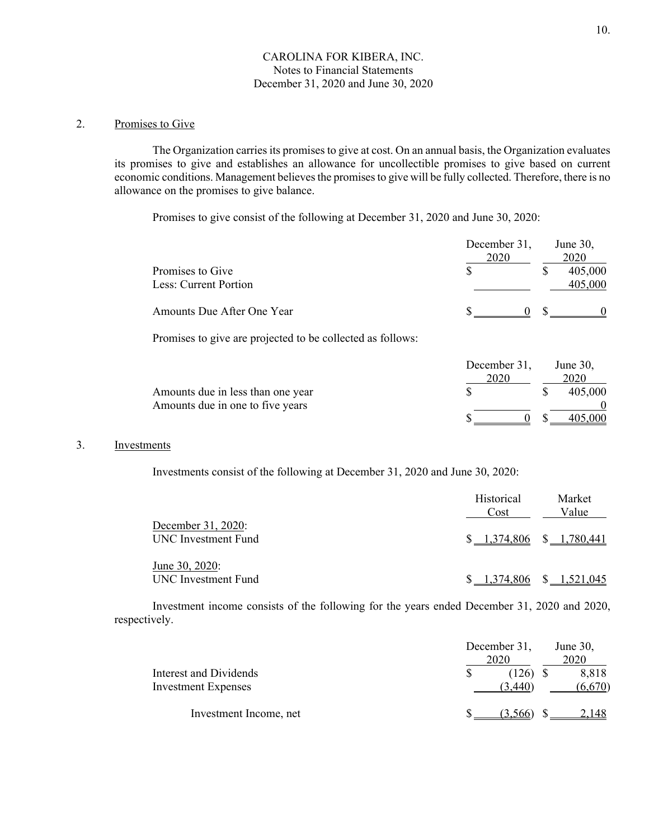# 2. Promises to Give

 The Organization carries its promises to give at cost. On an annual basis, the Organization evaluates its promises to give and establishes an allowance for uncollectible promises to give based on current economic conditions. Management believes the promises to give will be fully collected. Therefore, there is no allowance on the promises to give balance.

Promises to give consist of the following at December 31, 2020 and June 30, 2020:

|                                           | December 31,<br>2020 | June $30$ ,<br>2020 |
|-------------------------------------------|----------------------|---------------------|
| Promises to Give<br>Less: Current Portion |                      | 405,000<br>405,000  |
| Amounts Due After One Year                |                      |                     |

Promises to give are projected to be collected as follows:

|                                   | December 31, | June $30$ , |
|-----------------------------------|--------------|-------------|
|                                   | 2020         | 2020        |
| Amounts due in less than one year |              | 405,000     |
| Amounts due in one to five years  |              |             |
|                                   |              |             |

# 3. Investments

Investments consist of the following at December 31, 2020 and June 30, 2020:

|                                           | Historical<br>Cost        | Market<br>Value |
|-------------------------------------------|---------------------------|-----------------|
| December 31, 2020:<br>UNC Investment Fund | $$1,374,806$ $$1,780,441$ |                 |
| June 30, 2020:<br>UNC Investment Fund     | 374,806                   | $$ -1,521,045$  |

 Investment income consists of the following for the years ended December 31, 2020 and 2020, respectively.

|                            | December 31, | June 30, |
|----------------------------|--------------|----------|
|                            | 2020         | 2020     |
| Interest and Dividends     | (126)        | 8,818    |
| <b>Investment Expenses</b> | (3,440)      | (6,670)  |
| Investment Income, net     | (3.566)      | 2.148    |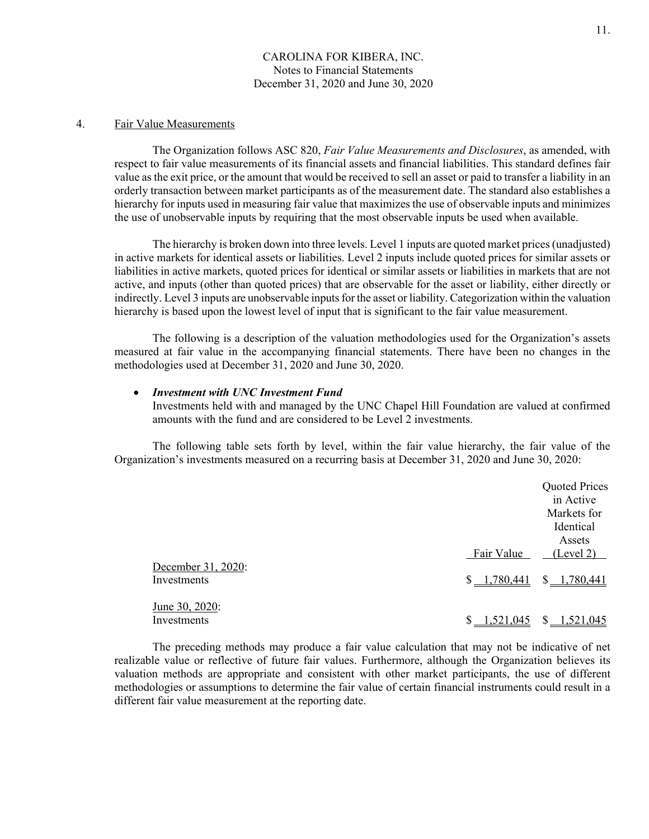# 4. Fair Value Measurements

The Organization follows ASC 820, *Fair Value Measurements and Disclosures*, as amended, with respect to fair value measurements of its financial assets and financial liabilities. This standard defines fair value as the exit price, or the amount that would be received to sell an asset or paid to transfer a liability in an orderly transaction between market participants as of the measurement date. The standard also establishes a hierarchy for inputs used in measuring fair value that maximizes the use of observable inputs and minimizes the use of unobservable inputs by requiring that the most observable inputs be used when available.

The hierarchy is broken down into three levels. Level 1 inputs are quoted market prices (unadjusted) in active markets for identical assets or liabilities. Level 2 inputs include quoted prices for similar assets or liabilities in active markets, quoted prices for identical or similar assets or liabilities in markets that are not active, and inputs (other than quoted prices) that are observable for the asset or liability, either directly or indirectly. Level 3 inputs are unobservable inputs for the asset or liability. Categorization within the valuation hierarchy is based upon the lowest level of input that is significant to the fair value measurement.

 The following is a description of the valuation methodologies used for the Organization's assets measured at fair value in the accompanying financial statements. There have been no changes in the methodologies used at December 31, 2020 and June 30, 2020.

#### *Investment with UNC Investment Fund*

Investments held with and managed by the UNC Chapel Hill Foundation are valued at confirmed amounts with the fund and are considered to be Level 2 investments.

 The following table sets forth by level, within the fair value hierarchy, the fair value of the Organization's investments measured on a recurring basis at December 31, 2020 and June 30, 2020:

|                                   |                | <b>Quoted Prices</b><br>in Active<br>Markets for |
|-----------------------------------|----------------|--------------------------------------------------|
|                                   |                | Identical<br>Assets                              |
|                                   | Fair Value     | (Level 2)                                        |
| December 31, 2020:<br>Investments | $$ -1,780,441$ | $\mathbb{S}^-$<br>1,780,441                      |
| June 30, 2020:<br>Investments     | 1.521.045      | 1.521.045<br>S.                                  |

 The preceding methods may produce a fair value calculation that may not be indicative of net realizable value or reflective of future fair values. Furthermore, although the Organization believes its valuation methods are appropriate and consistent with other market participants, the use of different methodologies or assumptions to determine the fair value of certain financial instruments could result in a different fair value measurement at the reporting date.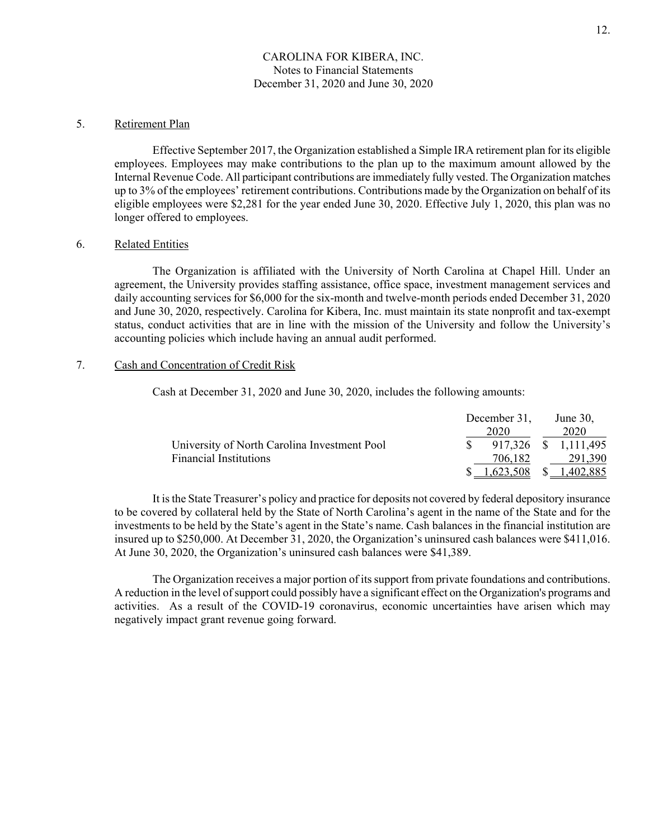# 5. Retirement Plan

 Effective September 2017, the Organization established a Simple IRA retirement plan for its eligible employees. Employees may make contributions to the plan up to the maximum amount allowed by the Internal Revenue Code. All participant contributions are immediately fully vested. The Organization matches up to 3% of the employees' retirement contributions. Contributions made by the Organization on behalf of its eligible employees were \$2,281 for the year ended June 30, 2020. Effective July 1, 2020, this plan was no longer offered to employees.

# 6. Related Entities

The Organization is affiliated with the University of North Carolina at Chapel Hill. Under an agreement, the University provides staffing assistance, office space, investment management services and daily accounting services for \$6,000 for the six-month and twelve-month periods ended December 31, 2020 and June 30, 2020, respectively. Carolina for Kibera, Inc. must maintain its state nonprofit and tax-exempt status, conduct activities that are in line with the mission of the University and follow the University's accounting policies which include having an annual audit performed.

### 7. Cash and Concentration of Credit Risk

Cash at December 31, 2020 and June 30, 2020, includes the following amounts:

|                                              | December 31, | June $30$ ,          |
|----------------------------------------------|--------------|----------------------|
|                                              | 2020         | 2020                 |
| University of North Carolina Investment Pool |              | 917,326 \$ 1,111,495 |
| <b>Financial Institutions</b>                | 706,182      | 291,390              |
|                                              | 1,623,508    | \$1,402,885          |

It is the State Treasurer's policy and practice for deposits not covered by federal depository insurance to be covered by collateral held by the State of North Carolina's agent in the name of the State and for the investments to be held by the State's agent in the State's name. Cash balances in the financial institution are insured up to \$250,000. At December 31, 2020, the Organization's uninsured cash balances were \$411,016. At June 30, 2020, the Organization's uninsured cash balances were \$41,389.

 The Organization receives a major portion of its support from private foundations and contributions. A reduction in the level of support could possibly have a significant effect on the Organization's programs and activities. As a result of the COVID-19 coronavirus, economic uncertainties have arisen which may negatively impact grant revenue going forward.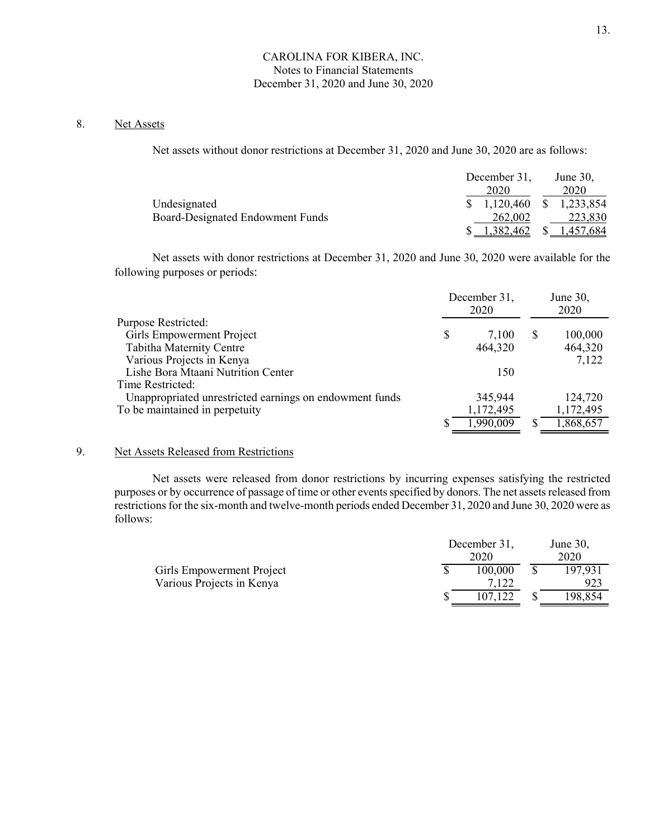# 8. Net Assets

Net assets without donor restrictions at December 31, 2020 and June 30, 2020 are as follows:

|                                  | December 31,          | June $30$ ,    |
|----------------------------------|-----------------------|----------------|
|                                  | 2020                  | 2020           |
| Undesignated                     | $\frac{1,120,460}{2}$ | \$1,233,854    |
| Board-Designated Endowment Funds | 262,002               | 223,830        |
|                                  | 1,382,462             | $$ -1,457,684$ |

Net assets with donor restrictions at December 31, 2020 and June 30, 2020 were available for the following purposes or periods:

|                                                         |    | December 31,<br>2020 | June 30,<br>2020 |           |
|---------------------------------------------------------|----|----------------------|------------------|-----------|
| <b>Purpose Restricted:</b>                              |    |                      |                  |           |
| Girls Empowerment Project                               | \$ | 7.100                | S                | 100,000   |
| Tabitha Maternity Centre                                |    | 464,320              |                  | 464,320   |
| Various Projects in Kenya                               |    |                      |                  | 7,122     |
| Lishe Bora Mtaani Nutrition Center                      |    | 150                  |                  |           |
| Time Restricted:                                        |    |                      |                  |           |
| Unappropriated unrestricted earnings on endowment funds |    | 345,944              |                  | 124,720   |
| To be maintained in perpetuity                          |    | 1,172,495            |                  | 1,172,495 |
|                                                         |    | 1,990,009            |                  | 1,868,657 |

# 9. Net Assets Released from Restrictions

 Net assets were released from donor restrictions by incurring expenses satisfying the restricted purposes or by occurrence of passage of time or other events specified by donors. The net assets released from restrictions for the six-month and twelve-month periods ended December 31, 2020 and June 30, 2020 were as follows:

|                           | December 31,<br>2020 |  | June 30,<br>2020 |  |  |
|---------------------------|----------------------|--|------------------|--|--|
| Girls Empowerment Project | 100,000              |  | 197,931          |  |  |
| Various Projects in Kenya |                      |  |                  |  |  |
|                           | 107.122              |  | 198,854          |  |  |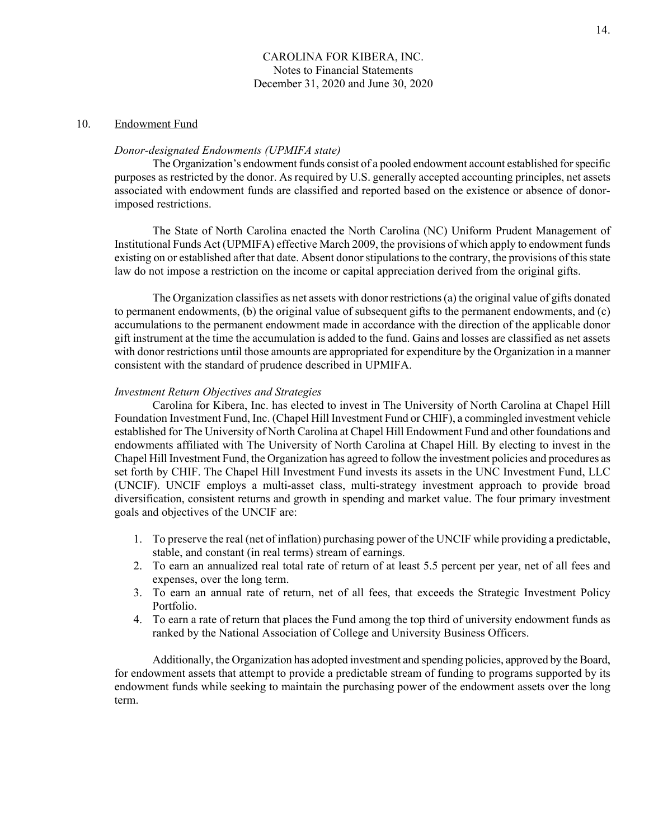# 10. Endowment Fund

# *Donor-designated Endowments (UPMIFA state)*

The Organization's endowment funds consist of a pooled endowment account established for specific purposes as restricted by the donor. As required by U.S. generally accepted accounting principles, net assets associated with endowment funds are classified and reported based on the existence or absence of donorimposed restrictions.

The State of North Carolina enacted the North Carolina (NC) Uniform Prudent Management of Institutional Funds Act (UPMIFA) effective March 2009, the provisions of which apply to endowment funds existing on or established after that date. Absent donor stipulations to the contrary, the provisions of this state law do not impose a restriction on the income or capital appreciation derived from the original gifts.

The Organization classifies as net assets with donor restrictions (a) the original value of gifts donated to permanent endowments, (b) the original value of subsequent gifts to the permanent endowments, and (c) accumulations to the permanent endowment made in accordance with the direction of the applicable donor gift instrument at the time the accumulation is added to the fund. Gains and losses are classified as net assets with donor restrictions until those amounts are appropriated for expenditure by the Organization in a manner consistent with the standard of prudence described in UPMIFA.

## *Investment Return Objectives and Strategies*

Carolina for Kibera, Inc. has elected to invest in The University of North Carolina at Chapel Hill Foundation Investment Fund, Inc. (Chapel Hill Investment Fund or CHIF), a commingled investment vehicle established for The University of North Carolina at Chapel Hill Endowment Fund and other foundations and endowments affiliated with The University of North Carolina at Chapel Hill. By electing to invest in the Chapel Hill Investment Fund, the Organization has agreed to follow the investment policies and procedures as set forth by CHIF. The Chapel Hill Investment Fund invests its assets in the UNC Investment Fund, LLC (UNCIF). UNCIF employs a multi-asset class, multi-strategy investment approach to provide broad diversification, consistent returns and growth in spending and market value. The four primary investment goals and objectives of the UNCIF are:

- 1. To preserve the real (net of inflation) purchasing power of the UNCIF while providing a predictable, stable, and constant (in real terms) stream of earnings.
- 2. To earn an annualized real total rate of return of at least 5.5 percent per year, net of all fees and expenses, over the long term.
- 3. To earn an annual rate of return, net of all fees, that exceeds the Strategic Investment Policy Portfolio.
- 4. To earn a rate of return that places the Fund among the top third of university endowment funds as ranked by the National Association of College and University Business Officers.

 Additionally, the Organization has adopted investment and spending policies, approved by the Board, for endowment assets that attempt to provide a predictable stream of funding to programs supported by its endowment funds while seeking to maintain the purchasing power of the endowment assets over the long term.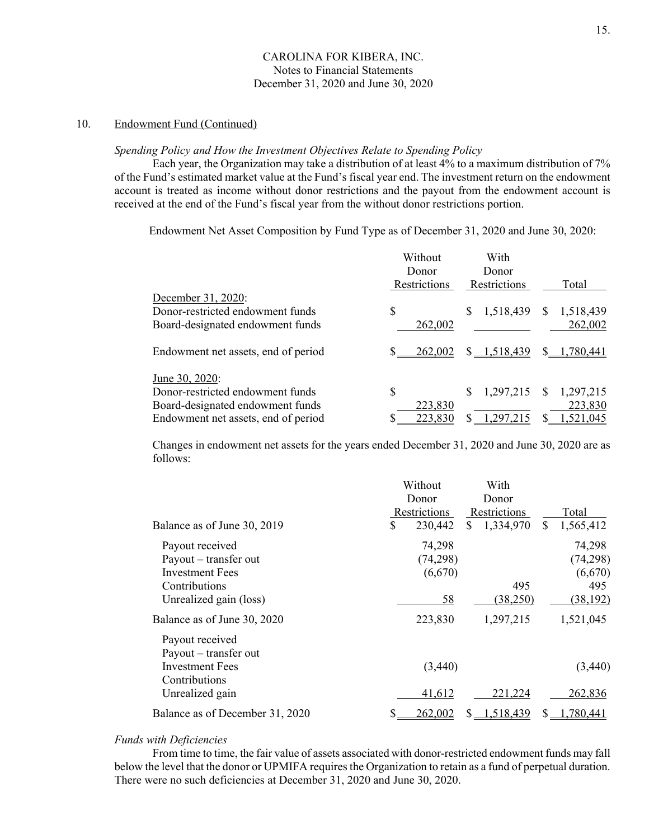# 10. Endowment Fund (Continued)

#### *Spending Policy and How the Investment Objectives Relate to Spending Policy*

 Each year, the Organization may take a distribution of at least 4% to a maximum distribution of 7% of the Fund's estimated market value at the Fund's fiscal year end. The investment return on the endowment account is treated as income without donor restrictions and the payout from the endowment account is received at the end of the Fund's fiscal year from the without donor restrictions portion.

Endowment Net Asset Composition by Fund Type as of December 31, 2020 and June 30, 2020:

|                                                                                                                               | Without<br>Donor<br>Restrictions | With<br>Donor<br>Restrictions | Total                                            |
|-------------------------------------------------------------------------------------------------------------------------------|----------------------------------|-------------------------------|--------------------------------------------------|
| December 31, 2020:<br>Donor-restricted endowment funds<br>Board-designated endowment funds                                    | \$<br>262,002                    | 1,518,439                     | 1,518,439<br>S<br>262,002                        |
| Endowment net assets, end of period                                                                                           | S.<br>262,002                    | $$ -1,518,439$                | 1,780,441                                        |
| June 30, 2020:<br>Donor-restricted endowment funds<br>Board-designated endowment funds<br>Endowment net assets, end of period | \$<br>223,830<br>223,830         | 1,297,215<br>S<br>,297,215    | 1,297,215<br><sup>S</sup><br>223,830<br>,521,045 |

 Changes in endowment net assets for the years ended December 31, 2020 and June 30, 2020 are as follows:

| Total<br>1,565,412 |
|--------------------|
|                    |
|                    |
|                    |
| 74,298             |
| (74, 298)          |
| (6,670)            |
| 495                |
| (38, 192)          |
| 1,521,045          |
|                    |
|                    |
| (3,440)            |
|                    |
| 262,836            |
| 1,780,441          |
|                    |

#### *Funds with Deficiencies*

From time to time, the fair value of assets associated with donor-restricted endowment funds may fall below the level that the donor or UPMIFA requires the Organization to retain as a fund of perpetual duration. There were no such deficiencies at December 31, 2020 and June 30, 2020.